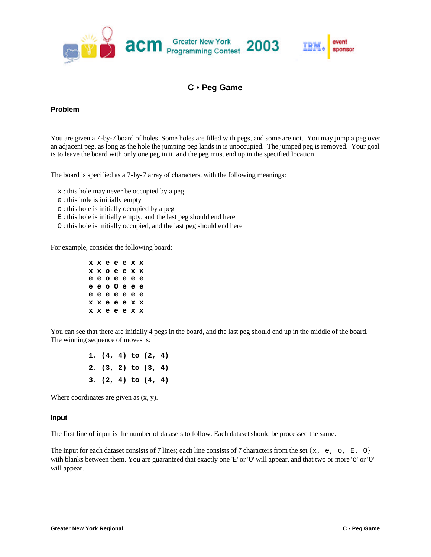

# **C • Peg Game**

### **Problem**

You are given a 7-by-7 board of holes. Some holes are filled with pegs, and some are not. You may jump a peg over an adjacent peg, as long as the hole the jumping peg lands in is unoccupied. The jumped peg is removed. Your goal is to leave the board with only one peg in it, and the peg must end up in the specified location.

The board is specified as a 7-by-7 array of characters, with the following meanings:

- x : this hole may never be occupied by a peg
- e : this hole is initially empty
- o : this hole is initially occupied by a peg
- E : this hole is initially empty, and the last peg should end here
- O : this hole is initially occupied, and the last peg should end here

For example, consider the following board:

| ххееехх       |  |  |  |
|---------------|--|--|--|
| ххоеехх       |  |  |  |
| eeoeeee       |  |  |  |
| e e o 0 e e e |  |  |  |
| eeeeee        |  |  |  |
| x x e e e x x |  |  |  |
| ххееехх       |  |  |  |

You can see that there are initially 4 pegs in the board, and the last peg should end up in the middle of the board. The winning sequence of moves is:

> **1. (4, 4) to (2, 4) 2. (3, 2) to (3, 4) 3. (2, 4) to (4, 4)**

Where coordinates are given as (x, y).

#### **Input**

The first line of input is the number of datasets to follow. Each dataset should be processed the same.

The input for each dataset consists of 7 lines; each line consists of 7 characters from the set { $x$ , e, o, E, O} with blanks between them. You are guaranteed that exactly one 'E' or 'O' will appear, and that two or more 'o' or 'O' will appear.